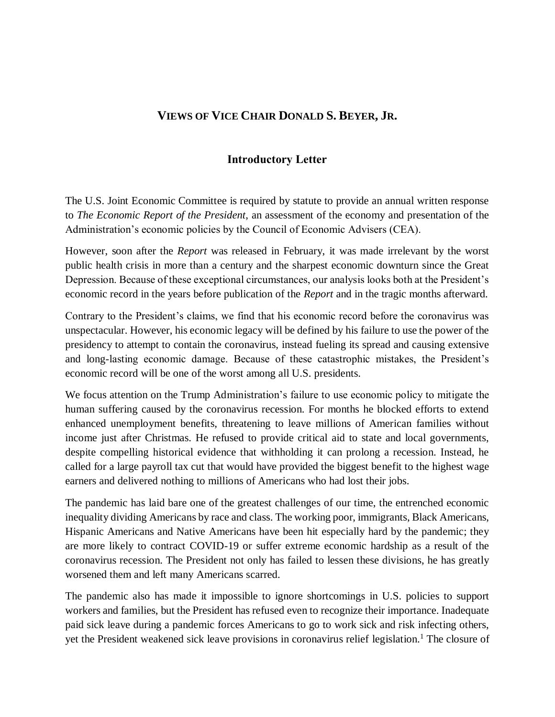## **VIEWS OF VICE CHAIR DONALD S. BEYER, JR.**

## **Introductory Letter**

The U.S. Joint Economic Committee is required by statute to provide an annual written response to *The Economic Report of the President*, an assessment of the economy and presentation of the Administration's economic policies by the Council of Economic Advisers (CEA).

However, soon after the *Report* was released in February, it was made irrelevant by the worst public health crisis in more than a century and the sharpest economic downturn since the Great Depression. Because of these exceptional circumstances, our analysis looks both at the President's economic record in the years before publication of the *Report* and in the tragic months afterward.

Contrary to the President's claims, we find that his economic record before the coronavirus was unspectacular. However, his economic legacy will be defined by his failure to use the power of the presidency to attempt to contain the coronavirus, instead fueling its spread and causing extensive and long-lasting economic damage. Because of these catastrophic mistakes, the President's economic record will be one of the worst among all U.S. presidents.

We focus attention on the Trump Administration's failure to use economic policy to mitigate the human suffering caused by the coronavirus recession. For months he blocked efforts to extend enhanced unemployment benefits, threatening to leave millions of American families without income just after Christmas. He refused to provide critical aid to state and local governments, despite compelling historical evidence that withholding it can prolong a recession. Instead, he called for a large payroll tax cut that would have provided the biggest benefit to the highest wage earners and delivered nothing to millions of Americans who had lost their jobs.

The pandemic has laid bare one of the greatest challenges of our time, the entrenched economic inequality dividing Americans by race and class. The working poor, immigrants, Black Americans, Hispanic Americans and Native Americans have been hit especially hard by the pandemic; they are more likely to contract COVID-19 or suffer extreme economic hardship as a result of the coronavirus recession. The President not only has failed to lessen these divisions, he has greatly worsened them and left many Americans scarred.

The pandemic also has made it impossible to ignore shortcomings in U.S. policies to support workers and families, but the President has refused even to recognize their importance. Inadequate paid sick leave during a pandemic forces Americans to go to work sick and risk infecting others, yet the President weakened sick leave provisions in coronavirus relief legislation.<sup>1</sup> The closure of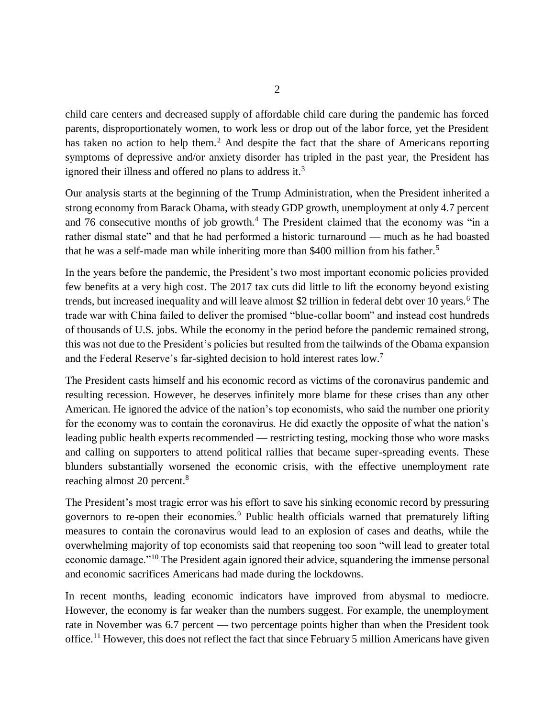child care centers and decreased supply of affordable child care during the pandemic has forced parents, disproportionately women, to work less or drop out of the labor force, yet the President has taken no action to help them.<sup>2</sup> And despite the fact that the share of Americans reporting symptoms of depressive and/or anxiety disorder has tripled in the past year, the President has ignored their illness and offered no plans to address it.<sup>3</sup>

Our analysis starts at the beginning of the Trump Administration, when the President inherited a strong economy from Barack Obama, with steady GDP growth, unemployment at only 4.7 percent and 76 consecutive months of job growth.<sup>4</sup> The President claimed that the economy was "in a rather dismal state" and that he had performed a historic turnaround — much as he had boasted that he was a self-made man while inheriting more than \$400 million from his father.<sup>5</sup>

In the years before the pandemic, the President's two most important economic policies provided few benefits at a very high cost. The 2017 tax cuts did little to lift the economy beyond existing trends, but increased inequality and will leave almost \$2 trillion in federal debt over 10 years.<sup>6</sup> The trade war with China failed to deliver the promised "blue-collar boom" and instead cost hundreds of thousands of U.S. jobs. While the economy in the period before the pandemic remained strong, this was not due to the President's policies but resulted from the tailwinds of the Obama expansion and the Federal Reserve's far-sighted decision to hold interest rates low.<sup>7</sup>

The President casts himself and his economic record as victims of the coronavirus pandemic and resulting recession. However, he deserves infinitely more blame for these crises than any other American. He ignored the advice of the nation's top economists, who said the number one priority for the economy was to contain the coronavirus. He did exactly the opposite of what the nation's leading public health experts recommended — restricting testing, mocking those who wore masks and calling on supporters to attend political rallies that became super-spreading events. These blunders substantially worsened the economic crisis, with the effective unemployment rate reaching almost 20 percent.<sup>8</sup>

The President's most tragic error was his effort to save his sinking economic record by pressuring governors to re-open their economies.<sup>9</sup> Public health officials warned that prematurely lifting measures to contain the coronavirus would lead to an explosion of cases and deaths, while the overwhelming majority of top economists said that reopening too soon "will lead to greater total economic damage."<sup>10</sup> The President again ignored their advice, squandering the immense personal and economic sacrifices Americans had made during the lockdowns.

In recent months, leading economic indicators have improved from abysmal to mediocre. However, the economy is far weaker than the numbers suggest. For example, the unemployment rate in November was 6.7 percent — two percentage points higher than when the President took office.<sup>11</sup> However, this does not reflect the fact that since February 5 million Americans have given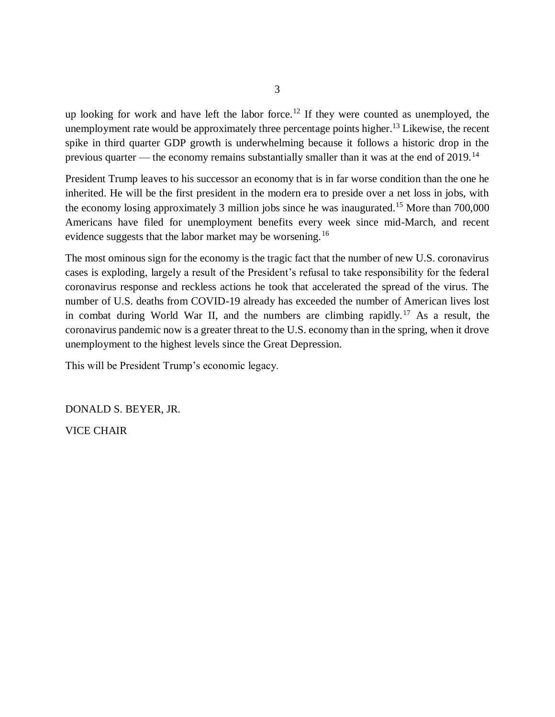up looking for work and have left the labor force.<sup>12</sup> If they were counted as unemployed, the unemployment rate would be approximately three percentage points higher.<sup>13</sup> Likewise, the recent spike in third quarter GDP growth is underwhelming because it follows a historic drop in the previous quarter — the economy remains substantially smaller than it was at the end of  $2019$ .<sup>14</sup>

President Trump leaves to his successor an economy that is in far worse condition than the one he inherited. He will be the first president in the modern era to preside over a net loss in jobs, with the economy losing approximately 3 million jobs since he was inaugurated.<sup>15</sup> More than  $700,000$ Americans have filed for unemployment benefits every week since mid-March, and recent evidence suggests that the labor market may be worsening.<sup>16</sup>

The most ominous sign for the economy is the tragic fact that the number of new U.S. coronavirus cases is exploding, largely a result of the President's refusal to take responsibility for the federal coronavirus response and reckless actions he took that accelerated the spread of the virus. The number of U.S. deaths from COVID-19 already has exceeded the number of American lives lost in combat during World War II, and the numbers are climbing rapidly.<sup>17</sup> As a result, the coronavirus pandemic now is a greater threat to the U.S. economy than in the spring, when it drove unemployment to the highest levels since the Great Depression.

This will be President Trump's economic legacy.

DONALD S. BEYER, JR.

VICE CHAIR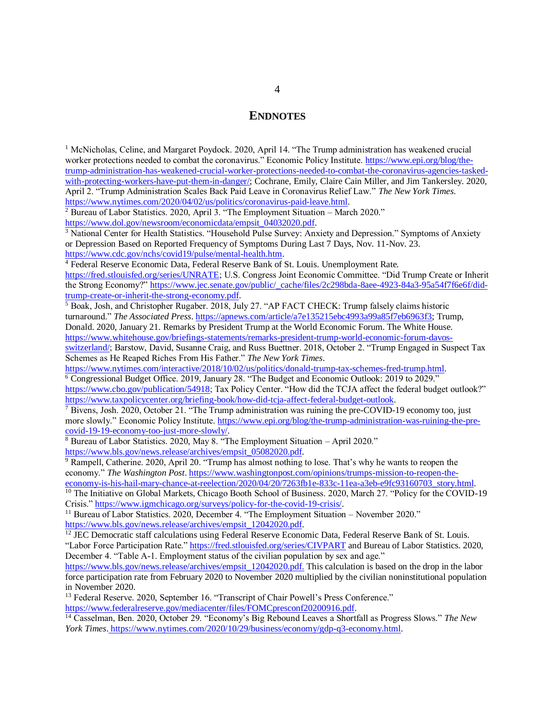## **ENDNOTES**

<sup>1</sup> McNicholas, Celine, and Margaret Poydock. 2020, April 14. "The Trump administration has weakened crucial worker protections needed to combat the coronavirus." Economic Policy Institute. [https://www.epi.org/blog/the](https://www.epi.org/blog/the-trump-administration-has-weakened-crucial-worker-protections-needed-to-combat-the-coronavirus-agencies-tasked-with-protecting-workers-have-put-them-in-danger/)[trump-administration-has-weakened-crucial-worker-protections-needed-to-combat-the-coronavirus-agencies-tasked](https://www.epi.org/blog/the-trump-administration-has-weakened-crucial-worker-protections-needed-to-combat-the-coronavirus-agencies-tasked-with-protecting-workers-have-put-them-in-danger/)[with-protecting-workers-have-put-them-in-danger/;](https://www.epi.org/blog/the-trump-administration-has-weakened-crucial-worker-protections-needed-to-combat-the-coronavirus-agencies-tasked-with-protecting-workers-have-put-them-in-danger/) Cochrane, Emily, Claire Cain Miller, and Jim Tankersley. 2020, April 2. "Trump Administration Scales Back Paid Leave in Coronavirus Relief Law." *The New York Times*. [https://www.nytimes.com/2020/04/02/us/politics/coronavirus-paid-leave.html.](https://www.nytimes.com/2020/04/02/us/politics/coronavirus-paid-leave.html)

<sup>2</sup> Bureau of Labor Statistics. 2020, April 3. "The Employment Situation – March 2020."

[https://www.dol.gov/newsroom/economicdata/empsit\\_04032020.pdf.](https://www.dol.gov/newsroom/economicdata/empsit_04032020.pdf)

<sup>3</sup> National Center for Health Statistics. "Household Pulse Survey: Anxiety and Depression." Symptoms of Anxiety or Depression Based on Reported Frequency of Symptoms During Last 7 Days, Nov. 11-Nov. 23. [https://www.cdc.gov/nchs/covid19/pulse/mental-health.htm.](https://www.cdc.gov/nchs/covid19/pulse/mental-health.htm)

<sup>4</sup> Federal Reserve Economic Data, Federal Reserve Bank of St. Louis. Unemployment Rate.

[https://fred.stlouisfed.org/series/UNRATE;](https://fred.stlouisfed.org/series/UNRATE) U.S. Congress Joint Economic Committee. "Did Trump Create or Inherit the Strong Economy?" [https://www.jec.senate.gov/public/\\_cache/files/2c298bda-8aee-4923-84a3-95a54f7f6e6f/did](https://www.jec.senate.gov/public/_cache/files/2c298bda-8aee-4923-84a3-95a54f7f6e6f/did-trump-create-or-inherit-the-strong-economy.pdf)[trump-create-or-inherit-the-strong-economy.pdf.](https://www.jec.senate.gov/public/_cache/files/2c298bda-8aee-4923-84a3-95a54f7f6e6f/did-trump-create-or-inherit-the-strong-economy.pdf)

<sup>5</sup> Boak, Josh, and Christopher Rugaber. 2018, July 27. "AP FACT CHECK: Trump falsely claims historic turnaround." *The Associated Press*. [https://apnews.com/article/a7e135215ebc4993a99a85f7eb6963f3;](https://apnews.com/article/a7e135215ebc4993a99a85f7eb6963f3) Trump, Donald. 2020, January 21. Remarks by President Trump at the World Economic Forum. The White House. [https://www.whitehouse.gov/briefings-statements/remarks-president-trump-world-economic-forum-davos-](https://www.whitehouse.gov/briefings-statements/remarks-president-trump-world-economic-forum-davos-switzerland/)

[switzerland/;](https://www.whitehouse.gov/briefings-statements/remarks-president-trump-world-economic-forum-davos-switzerland/) Barstow, David, Susanne Craig, and Russ Buettner. 2018, October 2. "Trump Engaged in Suspect Tax Schemes as He Reaped Riches From His Father." *The New York Times*.

[https://www.nytimes.com/interactive/2018/10/02/us/politics/donald-trump-tax-schemes-fred-trump.html.](https://www.nytimes.com/interactive/2018/10/02/us/politics/donald-trump-tax-schemes-fred-trump.html)

<sup>6</sup> Congressional Budget Office. 2019, January 28. "The Budget and Economic Outlook: 2019 to 2029." [https://www.cbo.gov/publication/54918;](https://www.cbo.gov/publication/54918) Tax Policy Center. "How did the TCJA affect the federal budget outlook?" [https://www.taxpolicycenter.org/briefing-book/how-did-tcja-affect-federal-budget-outlook.](https://www.taxpolicycenter.org/briefing-book/how-did-tcja-affect-federal-budget-outlook)

 $\frac{7}{7}$  Bivens, Josh. 2020, October 21. "The Trump administration was ruining the pre-COVID-19 economy too, just more slowly." Economic Policy Institute. [https://www.epi.org/blog/the-trump-administration-was-ruining-the-pre](https://www.epi.org/blog/the-trump-administration-was-ruining-the-pre-covid-19-19-economy-too-just-more-slowly/)[covid-19-19-economy-too-just-more-slowly/.](https://www.epi.org/blog/the-trump-administration-was-ruining-the-pre-covid-19-19-economy-too-just-more-slowly/)

<sup>8</sup> Bureau of Labor Statistics. 2020, May 8. "The Employment Situation – April 2020." [https://www.bls.gov/news.release/archives/empsit\\_05082020.pdf.](https://www.bls.gov/news.release/archives/empsit_05082020.pdf)

<sup>9</sup> Rampell, Catherine. 2020, April 20. "Trump has almost nothing to lose. That's why he wants to reopen the economy." *The Washington Post*[. https://www.washingtonpost.com/opinions/trumps-mission-to-reopen-the](https://www.washingtonpost.com/opinions/trumps-mission-to-reopen-the-economy-is-his-hail-mary-chance-at-reelection/2020/04/20/7263fb1e-833c-11ea-a3eb-e9fc93160703_story.html)[economy-is-his-hail-mary-chance-at-reelection/2020/04/20/7263fb1e-833c-11ea-a3eb-e9fc93160703\\_story.html.](https://www.washingtonpost.com/opinions/trumps-mission-to-reopen-the-economy-is-his-hail-mary-chance-at-reelection/2020/04/20/7263fb1e-833c-11ea-a3eb-e9fc93160703_story.html)

<sup>10</sup> The Initiative on Global Markets, Chicago Booth School of Business. 2020, March 27. "Policy for the COVID-19 Crisis." [https://www.igmchicago.org/surveys/policy-for-the-covid-19-crisis/.](https://www.igmchicago.org/surveys/policy-for-the-covid-19-crisis/)

<sup>11</sup> Bureau of Labor Statistics. 2020, December 4. "The Employment Situation – November 2020." [https://www.bls.gov/news.release/archives/empsit\\_12042020.pdf.](https://www.bls.gov/news.release/archives/empsit_12042020.pdf)

 $12$  JEC Democratic staff calculations using Federal Reserve Economic Data, Federal Reserve Bank of St. Louis. "Labor Force Participation Rate."<https://fred.stlouisfed.org/series/CIVPART> and Bureau of Labor Statistics. 2020, December 4. "Table A-1. Employment status of the civilian population by sex and age."

[https://www.bls.gov/news.release/archives/empsit\\_12042020.pdf.](https://www.bls.gov/news.release/archives/empsit_12042020.pdf) This calculation is based on the drop in the labor force participation rate from February 2020 to November 2020 multiplied by the civilian noninstitutional population in November 2020.

<sup>13</sup> Federal Reserve. 2020, September 16. "Transcript of Chair Powell's Press Conference." [https://www.federalreserve.gov/mediacenter/files/FOMCpresconf20200916.pdf.](https://www.federalreserve.gov/mediacenter/files/FOMCpresconf20200916.pdf)

<sup>14</sup> Casselman, Ben. 2020, October 29. "Economy's Big Rebound Leaves a Shortfall as Progress Slows." *The New York Times*. [https://www.nytimes.com/2020/10/29/business/economy/gdp-q3-economy.html.](https://www.nytimes.com/2020/10/29/business/economy/gdp-q3-economy.html)